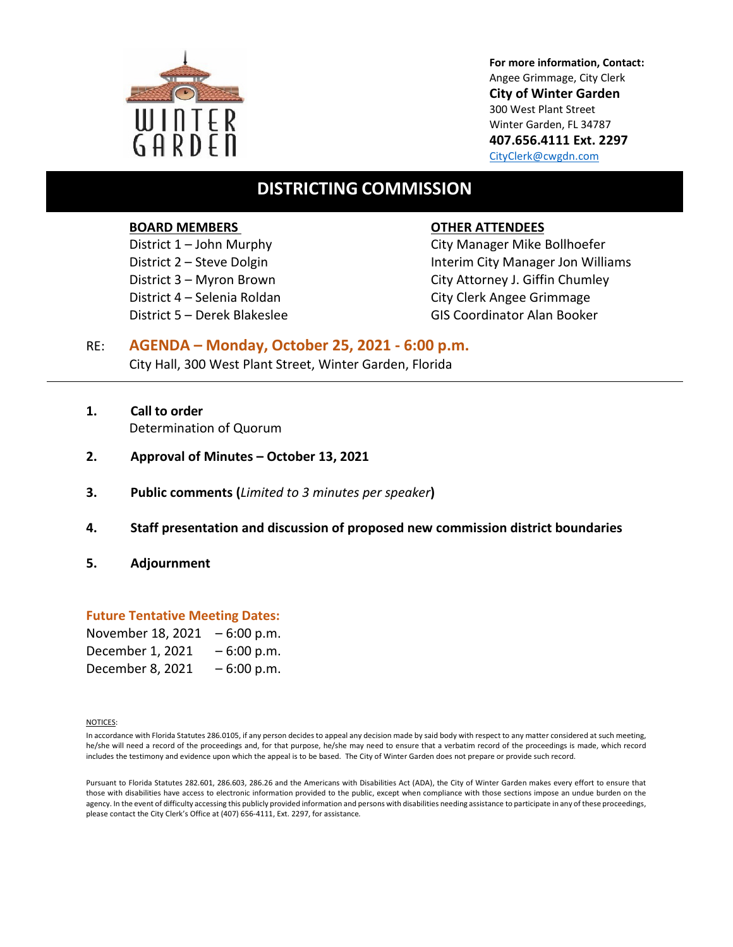

**For more information, Contact:** Angee Grimmage, City Clerk **City of Winter Garden** 300 West Plant Street Winter Garden, FL 34787 **407.656.4111 Ext. 2297** [CityClerk@cwgdn.com](mailto:CityClerk@cwgdn.com)

# **DISTRICTING COMMISSION**

#### **BOARD MEMBERS OTHER ATTENDEES**

District 1 – John Murphy City Manager Mike Bollhoefer District 2 – Steve Dolgin **Interim City Manager Jon Williams** District 3 – Myron Brown City Attorney J. Giffin Chumley District 4 – Selenia Roldan City Clerk Angee Grimmage District 5 – Derek Blakeslee GIS Coordinator Alan Booker

# RE: **AGENDA – Monday, October 25, 2021 - 6:00 p.m.** City Hall, 300 West Plant Street, Winter Garden, Florida

- **1. Call to order** Determination of Quorum
- **2. Approval of Minutes October 13, 2021**
- **3. Public comments (***Limited to 3 minutes per speaker***)**
- **4. Staff presentation and discussion of proposed new commission district boundaries**
- **5. Adjournment**

#### **Future Tentative Meeting Dates:**

| November 18, 2021 | $-6:00 p.m.$ |
|-------------------|--------------|
| December 1, 2021  | $-6:00 p.m.$ |
| December 8, 2021  | $-6:00 p.m.$ |

NOTICES:

In accordance with Florida Statutes 286.0105, if any person decides to appeal any decision made by said body with respect to any matter considered at such meeting, he/she will need a record of the proceedings and, for that purpose, he/she may need to ensure that a verbatim record of the proceedings is made, which record includes the testimony and evidence upon which the appeal is to be based. The City of Winter Garden does not prepare or provide such record.

Pursuant to Florida Statutes 282.601, 286.603, 286.26 and the Americans with Disabilities Act (ADA), the City of Winter Garden makes every effort to ensure that those with disabilities have access to electronic information provided to the public, except when compliance with those sections impose an undue burden on the agency. In the event of difficulty accessing this publicly provided information and persons with disabilities needing assistance to participate in any of these proceedings, please contact the City Clerk's Office at (407) 656-4111, Ext. 2297, for assistance*.*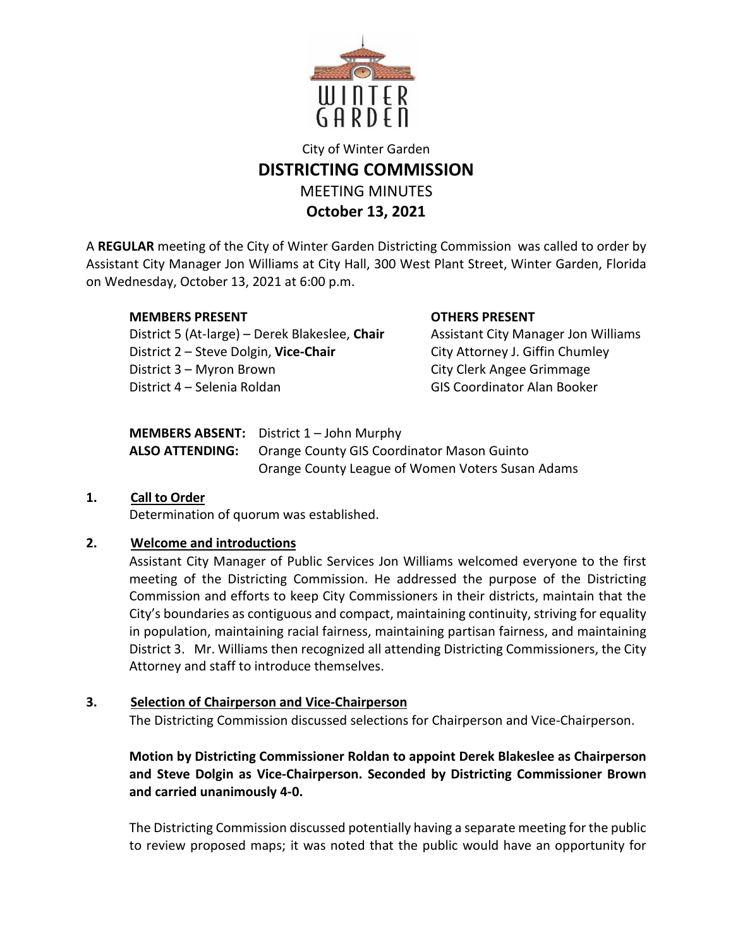

# City of Winter Garden **DISTRICTING COMMISSION** MEETING MINUTES **October 13, 2021**

A **REGULAR** meeting of the City of Winter Garden Districting Commission was called to order by Assistant City Manager Jon Williams at City Hall, 300 West Plant Street, Winter Garden, Florida on Wednesday, October 13, 2021 at 6:00 p.m.

# **MEMBERS PRESENT OTHERS PRESENT**

District 5 (At-large) – Derek Blakeslee, Chair Assistant City Manager Jon Williams District 2 – Steve Dolgin, **Vice-Chair** City Attorney J. Giffin Chumley District 3 – Myron Brown City Clerk Angee Grimmage District 4 – Selenia Roldan GIS Coordinator Alan Booker

| MEMBERS ABSENT: District 1 - John Murphy                          |
|-------------------------------------------------------------------|
| <b>ALSO ATTENDING:</b> Orange County GIS Coordinator Mason Guinto |
| Orange County League of Women Voters Susan Adams                  |

# **1. Call to Order** Determination of quorum was established.

# **2. Welcome and introductions**

Assistant City Manager of Public Services Jon Williams welcomed everyone to the first meeting of the Districting Commission. He addressed the purpose of the Districting Commission and efforts to keep City Commissioners in their districts, maintain that the City's boundaries as contiguous and compact, maintaining continuity, striving for equality in population, maintaining racial fairness, maintaining partisan fairness, and maintaining District 3. Mr. Williams then recognized all attending Districting Commissioners, the City Attorney and staff to introduce themselves.

# **3. Selection of Chairperson and Vice-Chairperson**

The Districting Commission discussed selections for Chairperson and Vice-Chairperson.

# **Motion by Districting Commissioner Roldan to appoint Derek Blakeslee as Chairperson and Steve Dolgin as Vice-Chairperson. Seconded by Districting Commissioner Brown and carried unanimously 4-0.**

The Districting Commission discussed potentially having a separate meeting for the public to review proposed maps; it was noted that the public would have an opportunity for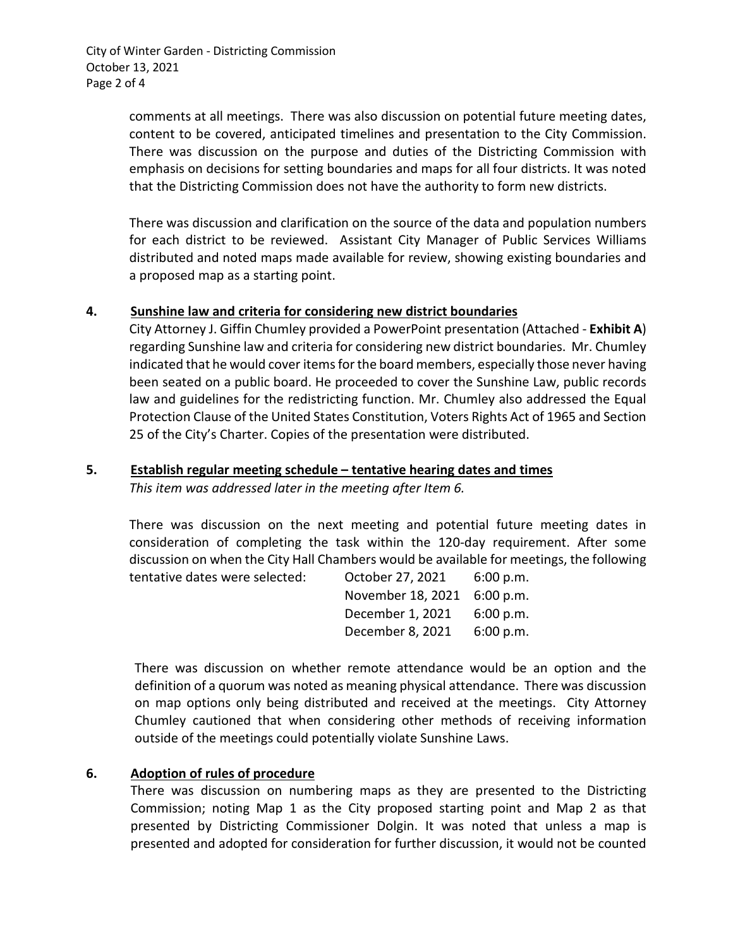City of Winter Garden - Districting Commission October 13, 2021 Page 2 of 4

> comments at all meetings. There was also discussion on potential future meeting dates, content to be covered, anticipated timelines and presentation to the City Commission. There was discussion on the purpose and duties of the Districting Commission with emphasis on decisions for setting boundaries and maps for all four districts. It was noted that the Districting Commission does not have the authority to form new districts.

> There was discussion and clarification on the source of the data and population numbers for each district to be reviewed. Assistant City Manager of Public Services Williams distributed and noted maps made available for review, showing existing boundaries and a proposed map as a starting point.

## **4. Sunshine law and criteria for considering new district boundaries**

City Attorney J. Giffin Chumley provided a PowerPoint presentation (Attached - **Exhibit A**) regarding Sunshine law and criteria for considering new district boundaries. Mr. Chumley indicated that he would cover items for the board members, especially those never having been seated on a public board. He proceeded to cover the Sunshine Law, public records law and guidelines for the redistricting function. Mr. Chumley also addressed the Equal Protection Clause of the United States Constitution, Voters Rights Act of 1965 and Section 25 of the City's Charter. Copies of the presentation were distributed.

#### **5. Establish regular meeting schedule – tentative hearing dates and times**

*This item was addressed later in the meeting after Item 6.*

There was discussion on the next meeting and potential future meeting dates in consideration of completing the task within the 120-day requirement. After some discussion on when the City Hall Chambers would be available for meetings, the following tentative dates were selected: Cortober 27, 2021 6:00

| OCTODER 27, 2021  | 6:00 p.m. |
|-------------------|-----------|
| November 18, 2021 | 6:00 p.m. |
| December 1, 2021  | 6:00 p.m. |
| December 8, 2021  | 6:00 p.m. |

There was discussion on whether remote attendance would be an option and the definition of a quorum was noted as meaning physical attendance. There was discussion on map options only being distributed and received at the meetings. City Attorney Chumley cautioned that when considering other methods of receiving information outside of the meetings could potentially violate Sunshine Laws.

## **6. Adoption of rules of procedure**

There was discussion on numbering maps as they are presented to the Districting Commission; noting Map 1 as the City proposed starting point and Map 2 as that presented by Districting Commissioner Dolgin. It was noted that unless a map is presented and adopted for consideration for further discussion, it would not be counted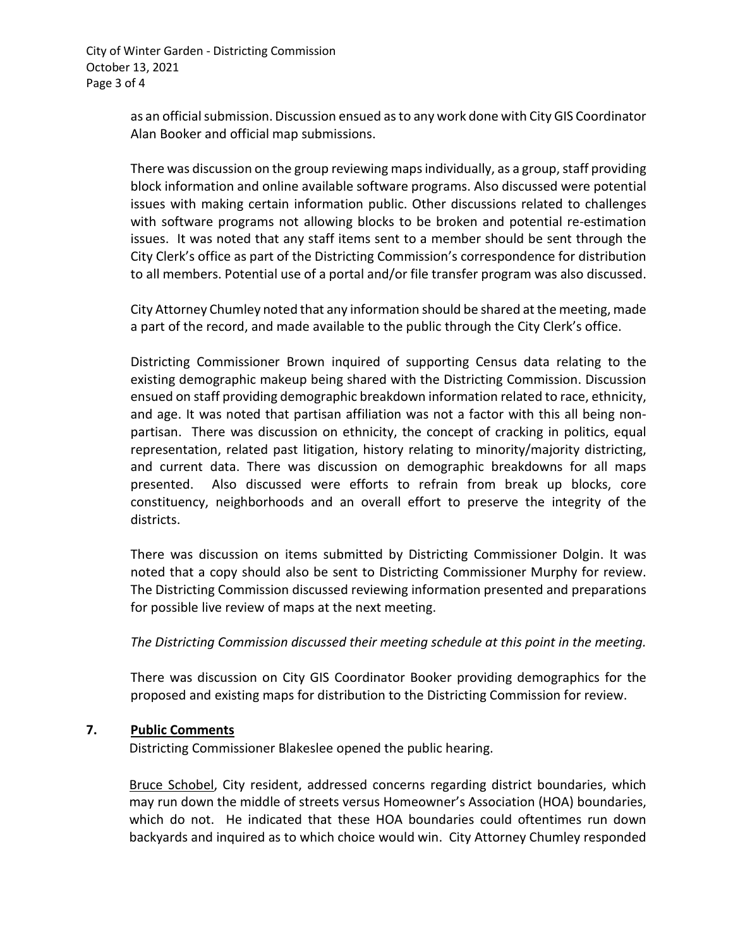City of Winter Garden - Districting Commission October 13, 2021 Page 3 of 4

> as an official submission. Discussion ensued as to any work done with City GIS Coordinator Alan Booker and official map submissions.

> There was discussion on the group reviewing maps individually, as a group, staff providing block information and online available software programs. Also discussed were potential issues with making certain information public. Other discussions related to challenges with software programs not allowing blocks to be broken and potential re-estimation issues. It was noted that any staff items sent to a member should be sent through the City Clerk's office as part of the Districting Commission's correspondence for distribution to all members. Potential use of a portal and/or file transfer program was also discussed.

> City Attorney Chumley noted that any information should be shared at the meeting, made a part of the record, and made available to the public through the City Clerk's office.

> Districting Commissioner Brown inquired of supporting Census data relating to the existing demographic makeup being shared with the Districting Commission. Discussion ensued on staff providing demographic breakdown information related to race, ethnicity, and age. It was noted that partisan affiliation was not a factor with this all being nonpartisan. There was discussion on ethnicity, the concept of cracking in politics, equal representation, related past litigation, history relating to minority/majority districting, and current data. There was discussion on demographic breakdowns for all maps presented. Also discussed were efforts to refrain from break up blocks, core constituency, neighborhoods and an overall effort to preserve the integrity of the districts.

> There was discussion on items submitted by Districting Commissioner Dolgin. It was noted that a copy should also be sent to Districting Commissioner Murphy for review. The Districting Commission discussed reviewing information presented and preparations for possible live review of maps at the next meeting.

> *The Districting Commission discussed their meeting schedule at this point in the meeting.*

There was discussion on City GIS Coordinator Booker providing demographics for the proposed and existing maps for distribution to the Districting Commission for review.

## **7. Public Comments**

Districting Commissioner Blakeslee opened the public hearing.

Bruce Schobel, City resident, addressed concerns regarding district boundaries, which may run down the middle of streets versus Homeowner's Association (HOA) boundaries, which do not. He indicated that these HOA boundaries could oftentimes run down backyards and inquired as to which choice would win. City Attorney Chumley responded